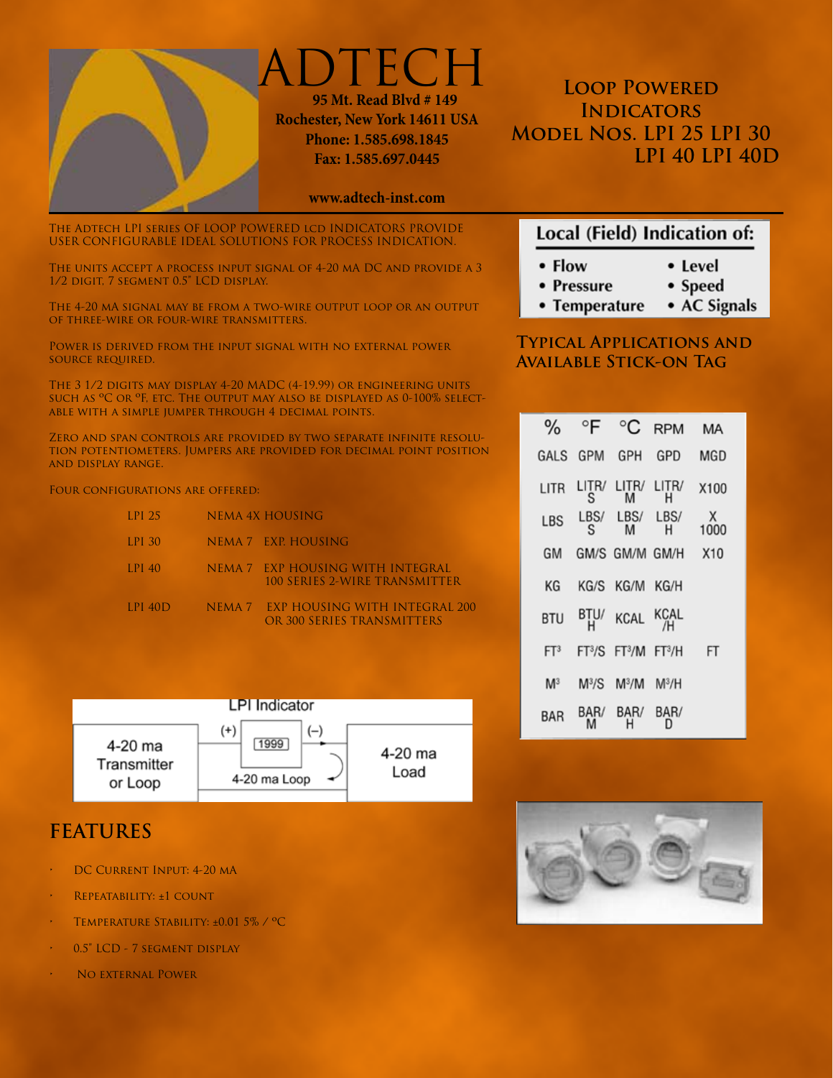

**DTECH 95 Mt. Read Blvd # 149 Rochester, New York 14611 USA Phone: 1.585.698.1845 Fax: 1.585.697.0445**

#### **www.adtech-inst.com**

The Adtech LPI series OF LOOP POWERED lcd INDICATORS PROVIDE USER CONFIGURABLE IDEAL SOLUTIONS FOR PROCESS INDICATION.

The units accept a process input signal of 4-20 mA DC and provide a 3 1/2 digit, 7 segment 0.5" LCD display.

The 4-20 mA signal may be from a two-wire output loop or an output of three-wire or four-wire transmitters.

Power is derived from the input signal with no external power source required.

The 3 1/2 digits may display 4-20 MADC (4-19.99) or engineering units such as ºC or ºF, etc. The output may also be displayed as 0-100% selectable with a simple jumper through 4 decimal points.

Zero and span controls are provided by two separate infinite resolution potentiometers. Jumpers are provided for decimal point position and display range.

Four configurations are offered:

| LPI 25    | NEMA 4X HOUSING                                                    |
|-----------|--------------------------------------------------------------------|
| LPI 30    | NEMA 7 EXP. HOUSING                                                |
| $LPI$ 40  | NEMA 7 EXP HOUSING WITH INTEGRAL<br>100 SERIES 2-WIRE TRANSMITTER  |
| LPI $40D$ | NEMA 7 EXP HOUSING WITH INTEGRAL 200<br>OR 300 SERIES TRANSMITTERS |



# **FEATURES**

- DC CURRENT INPUT: 4-20 MA
- REPEATABILITY: ±1 COUNT
- TEMPERATURE STABILITY: ±0.01 5% / °C
- 0.5" LCD 7 SEGMENT DISPLAY
- NO EXTERNAL POWER

**LOOP POWERED Indicators Model Nos. LPI 25 LPI 30 LPI 40 LPI 40D**

## Local (Field) Indication of:

- $\cdot$  Flow • Level
- Speed • Pressure
- AC Signals • Temperature

#### **Typical Applications and Available Stick-on Tag**

| $\%$            | °F                        | °C                                    | <b>RPM</b> | МA        |
|-----------------|---------------------------|---------------------------------------|------------|-----------|
| GAI S           | GPM                       | GPH                                   | GPD        | MGD       |
| LITR            | litr/<br>S                | LITR/<br>м                            | LITR/<br>н | X100      |
| LBS             | LBS/<br>S                 | LBS/<br>М                             | LBS/<br>н  | х<br>1000 |
| GM              |                           | GM/S GM/M GM/H                        |            | X10       |
| ΚG              |                           | KG/S KG/M KG/H                        |            |           |
| BTU             | BTU/<br>н                 | KCAL                                  | KCAL<br>/H |           |
| FT <sup>3</sup> | FT <sup>3</sup> /S        | FT <sup>3</sup> /M FT <sup>3</sup> /H |            | FT        |
| M <sup>3</sup>  | $\mathsf{M}^3/\mathsf{S}$ | $M^3/M$                               | $M^3/H$    |           |
| BAR             | R/                        | BAR/                                  | BAR/       |           |